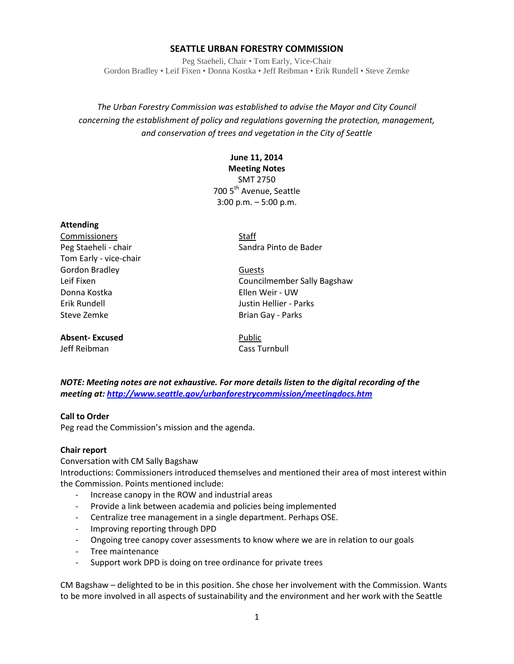## **SEATTLE URBAN FORESTRY COMMISSION**

Peg Staeheli, Chair • Tom Early, Vice-Chair Gordon Bradley • Leif Fixen • Donna Kostka • Jeff Reibman • Erik Rundell • Steve Zemke

*The Urban Forestry Commission was established to advise the Mayor and City Council concerning the establishment of policy and regulations governing the protection, management, and conservation of trees and vegetation in the City of Seattle*

## **June 11, 2014**

**Meeting Notes**

SMT 2750 700 5<sup>th</sup> Avenue, Seattle 3:00 p.m. – 5:00 p.m.

#### **Attending**

Commissioners Staff Tom Early - vice-chair Gordon Bradley **Guests Guests** Donna Kostka Ellen Weir - UW Erik Rundell Justin Hellier - Parks Steve Zemke **Brian Gay - Parks** 

**Absent-Excused** Public

Peg Staeheli - chair Sandra Pinto de Bader

Leif Fixen Councilmember Sally Bagshaw

Jeff Reibman Cass Turnbull

*NOTE: Meeting notes are not exhaustive. For more details listen to the digital recording of the meeting at[: http://www.seattle.gov/urbanforestrycommission/meetingdocs.htm](http://www.seattle.gov/urbanforestrycommission/meetingdocs.htm)*

#### **Call to Order**

Peg read the Commission's mission and the agenda.

## **Chair report**

Conversation with CM Sally Bagshaw Introductions: Commissioners introduced themselves and mentioned their area of most interest within the Commission. Points mentioned include:

- Increase canopy in the ROW and industrial areas
- Provide a link between academia and policies being implemented
- Centralize tree management in a single department. Perhaps OSE.
- Improving reporting through DPD
- Ongoing tree canopy cover assessments to know where we are in relation to our goals
- Tree maintenance
- Support work DPD is doing on tree ordinance for private trees

CM Bagshaw – delighted to be in this position. She chose her involvement with the Commission. Wants to be more involved in all aspects of sustainability and the environment and her work with the Seattle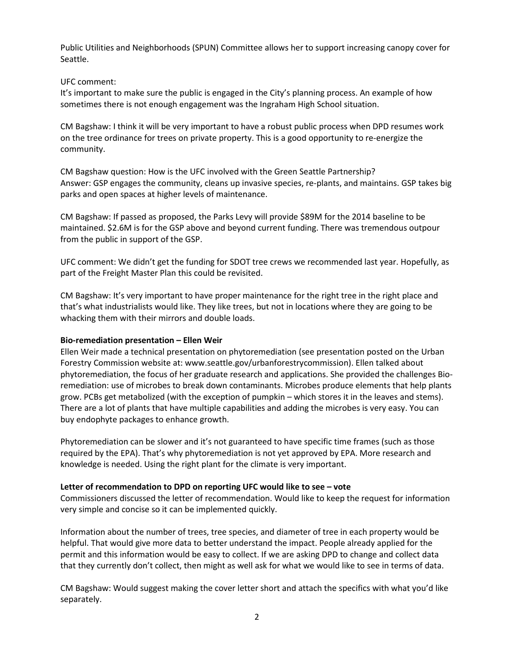Public Utilities and Neighborhoods (SPUN) Committee allows her to support increasing canopy cover for Seattle.

#### UFC comment:

It's important to make sure the public is engaged in the City's planning process. An example of how sometimes there is not enough engagement was the Ingraham High School situation.

CM Bagshaw: I think it will be very important to have a robust public process when DPD resumes work on the tree ordinance for trees on private property. This is a good opportunity to re-energize the community.

CM Bagshaw question: How is the UFC involved with the Green Seattle Partnership? Answer: GSP engages the community, cleans up invasive species, re-plants, and maintains. GSP takes big parks and open spaces at higher levels of maintenance.

CM Bagshaw: If passed as proposed, the Parks Levy will provide \$89M for the 2014 baseline to be maintained. \$2.6M is for the GSP above and beyond current funding. There was tremendous outpour from the public in support of the GSP.

UFC comment: We didn't get the funding for SDOT tree crews we recommended last year. Hopefully, as part of the Freight Master Plan this could be revisited.

CM Bagshaw: It's very important to have proper maintenance for the right tree in the right place and that's what industrialists would like. They like trees, but not in locations where they are going to be whacking them with their mirrors and double loads.

#### **Bio-remediation presentation – Ellen Weir**

Ellen Weir made a technical presentation on phytoremediation (see presentation posted on the Urban Forestry Commission website at: www.seattle.gov/urbanforestrycommission). Ellen talked about phytoremediation, the focus of her graduate research and applications. She provided the challenges Bioremediation: use of microbes to break down contaminants. Microbes produce elements that help plants grow. PCBs get metabolized (with the exception of pumpkin – which stores it in the leaves and stems). There are a lot of plants that have multiple capabilities and adding the microbes is very easy. You can buy endophyte packages to enhance growth.

Phytoremediation can be slower and it's not guaranteed to have specific time frames (such as those required by the EPA). That's why phytoremediation is not yet approved by EPA. More research and knowledge is needed. Using the right plant for the climate is very important.

## **Letter of recommendation to DPD on reporting UFC would like to see – vote**

Commissioners discussed the letter of recommendation. Would like to keep the request for information very simple and concise so it can be implemented quickly.

Information about the number of trees, tree species, and diameter of tree in each property would be helpful. That would give more data to better understand the impact. People already applied for the permit and this information would be easy to collect. If we are asking DPD to change and collect data that they currently don't collect, then might as well ask for what we would like to see in terms of data.

CM Bagshaw: Would suggest making the cover letter short and attach the specifics with what you'd like separately.